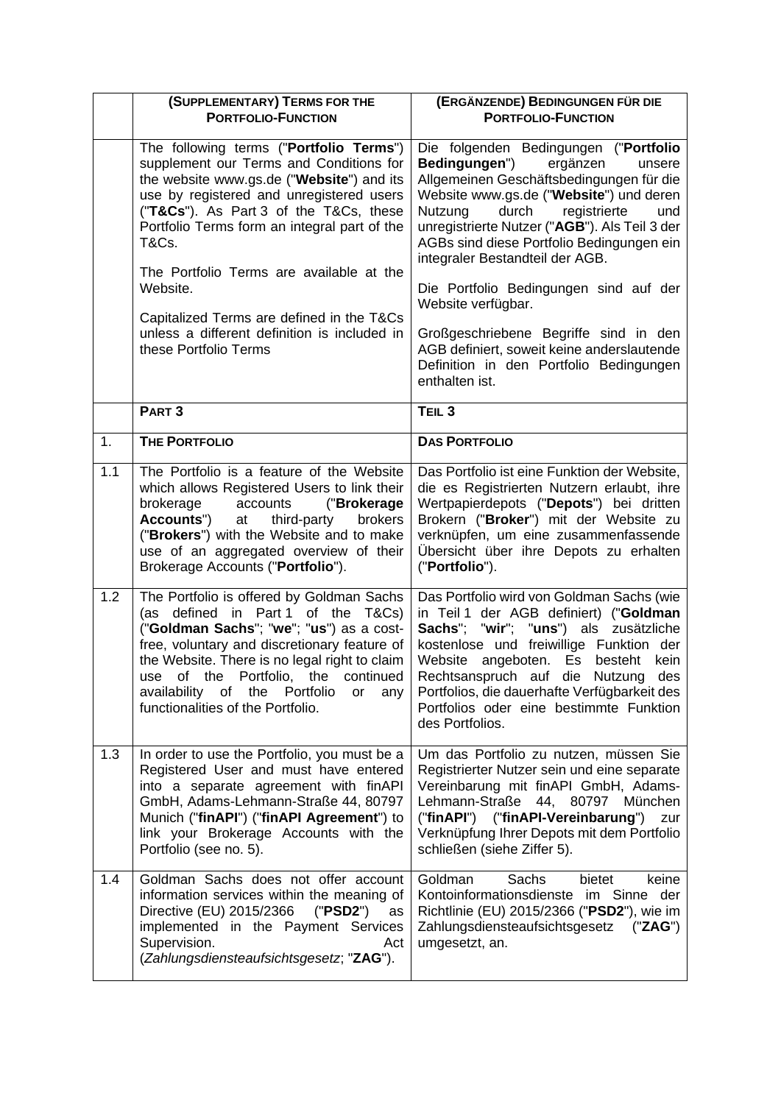|     | (SUPPLEMENTARY) TERMS FOR THE<br><b>PORTFOLIO-FUNCTION</b>                                                                                                                                                                                                                                                                                                                                                                                                   | (ERGÄNZENDE) BEDINGUNGEN FÜR DIE<br><b>PORTFOLIO-FUNCTION</b>                                                                                                                                                                                                                                                                                                                                                                                                                                                                                                       |  |
|-----|--------------------------------------------------------------------------------------------------------------------------------------------------------------------------------------------------------------------------------------------------------------------------------------------------------------------------------------------------------------------------------------------------------------------------------------------------------------|---------------------------------------------------------------------------------------------------------------------------------------------------------------------------------------------------------------------------------------------------------------------------------------------------------------------------------------------------------------------------------------------------------------------------------------------------------------------------------------------------------------------------------------------------------------------|--|
|     | The following terms ("Portfolio Terms")<br>supplement our Terms and Conditions for<br>the website www.gs.de ("Website") and its<br>use by registered and unregistered users<br>("T&Cs"). As Part 3 of the T&Cs, these<br>Portfolio Terms form an integral part of the<br>T&Cs.<br>The Portfolio Terms are available at the<br>Website.<br>Capitalized Terms are defined in the T&Cs<br>unless a different definition is included in<br>these Portfolio Terms | Die folgenden Bedingungen ("Portfolio<br>Bedingungen")<br>ergänzen<br>unsere<br>Allgemeinen Geschäftsbedingungen für die<br>Website www.gs.de ("Website") und deren<br>Nutzung<br>durch<br>registrierte<br>und<br>unregistrierte Nutzer ("AGB"). Als Teil 3 der<br>AGBs sind diese Portfolio Bedingungen ein<br>integraler Bestandteil der AGB.<br>Die Portfolio Bedingungen sind auf der<br>Website verfügbar.<br>Großgeschriebene Begriffe sind in den<br>AGB definiert, soweit keine anderslautende<br>Definition in den Portfolio Bedingungen<br>enthalten ist. |  |
|     | PART <sub>3</sub>                                                                                                                                                                                                                                                                                                                                                                                                                                            | TEIL <sub>3</sub>                                                                                                                                                                                                                                                                                                                                                                                                                                                                                                                                                   |  |
| 1.  | <b>THE PORTFOLIO</b>                                                                                                                                                                                                                                                                                                                                                                                                                                         | <b>DAS PORTFOLIO</b>                                                                                                                                                                                                                                                                                                                                                                                                                                                                                                                                                |  |
| 1.1 | The Portfolio is a feature of the Website<br>which allows Registered Users to link their<br>brokerage<br>accounts<br>("Brokerage<br>Accounts")<br>at<br>third-party<br>brokers<br>("Brokers") with the Website and to make<br>use of an aggregated overview of their<br>Brokerage Accounts ("Portfolio").                                                                                                                                                    | Das Portfolio ist eine Funktion der Website,<br>die es Registrierten Nutzern erlaubt, ihre<br>Wertpapierdepots ("Depots") bei dritten<br>Brokern ("Broker") mit der Website zu<br>verknüpfen, um eine zusammenfassende<br>Übersicht über ihre Depots zu erhalten<br>("Portfolio").                                                                                                                                                                                                                                                                                  |  |
| 1.2 | The Portfolio is offered by Goldman Sachs<br>(as defined in Part 1 of the T&Cs)<br>("Goldman Sachs"; "we"; "us") as a cost-<br>free, voluntary and discretionary feature of<br>the Website. There is no legal right to claim<br>use of the Portfolio, the continued<br>availability of the Portfolio<br>$-$ or $-$<br>any<br>functionalities of the Portfolio.                                                                                               | Das Portfolio wird von Goldman Sachs (wie<br>in Teil 1 der AGB definiert) ("Goldman<br>Sachs"; "wir"; "uns") als zusätzliche<br>kostenlose und freiwillige Funktion der<br>Website<br>angeboten. Es<br>besteht<br>kein<br>Rechtsanspruch auf die Nutzung des<br>Portfolios, die dauerhafte Verfügbarkeit des<br>Portfolios oder eine bestimmte Funktion<br>des Portfolios.                                                                                                                                                                                          |  |
| 1.3 | In order to use the Portfolio, you must be a<br>Registered User and must have entered<br>into a separate agreement with finAPI<br>GmbH, Adams-Lehmann-Straße 44, 80797<br>Munich ("finAPI") ("finAPI Agreement") to<br>link your Brokerage Accounts with the<br>Portfolio (see no. 5).                                                                                                                                                                       | Um das Portfolio zu nutzen, müssen Sie<br>Registrierter Nutzer sein und eine separate<br>Vereinbarung mit finAPI GmbH, Adams-<br>Lehmann-Straße 44, 80797 München<br>("finAPI") ("finAPI-Vereinbarung")<br>zur<br>Verknüpfung Ihrer Depots mit dem Portfolio<br>schließen (siehe Ziffer 5).                                                                                                                                                                                                                                                                         |  |
| 1.4 | Goldman Sachs does not offer account<br>information services within the meaning of<br>Directive (EU) 2015/2366<br>("PSD2")<br>as<br>implemented in the Payment Services<br>Supervision.<br>Act<br>(Zahlungsdiensteaufsichtsgesetz; "ZAG").                                                                                                                                                                                                                   | Goldman<br>Sachs<br>bietet<br>keine<br>Kontoinformationsdienste im Sinne der<br>Richtlinie (EU) 2015/2366 ("PSD2"), wie im<br>Zahlungsdiensteaufsichtsgesetz<br>("ZAG")<br>umgesetzt, an.                                                                                                                                                                                                                                                                                                                                                                           |  |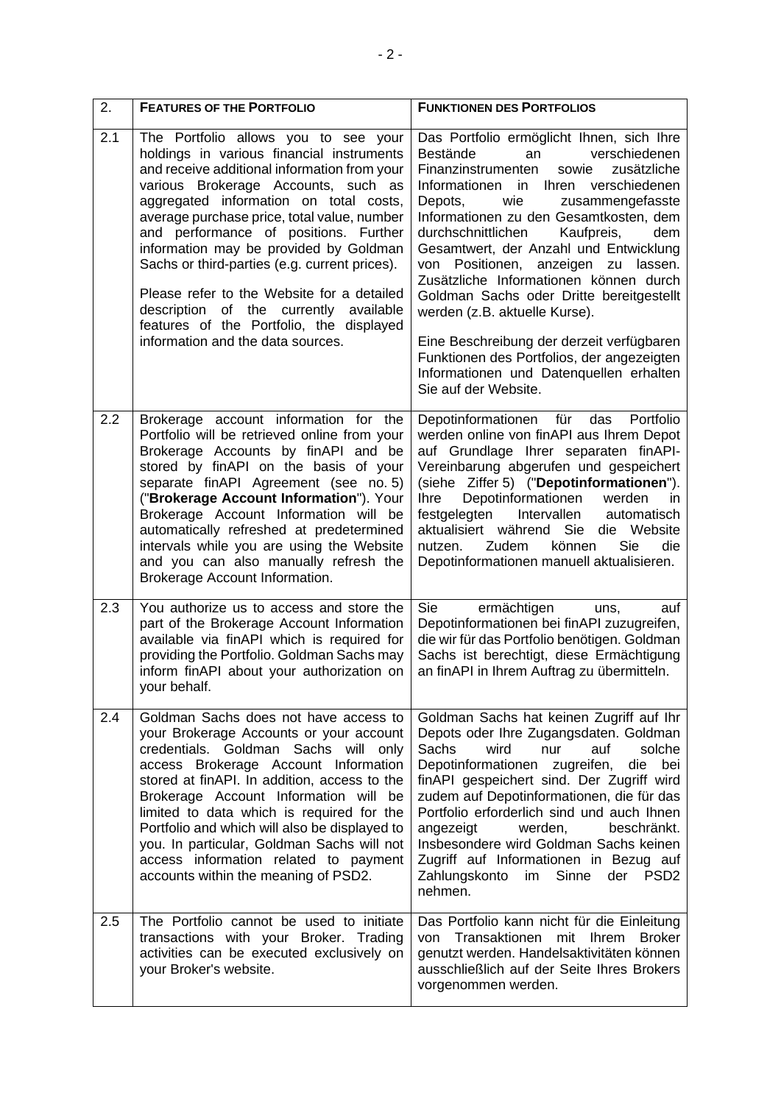| 2.  | <b>FEATURES OF THE PORTFOLIO</b>                                                                                                                                                                                                                                                                                                                                                                                                                                                                                                                                               | <b>FUNKTIONEN DES PORTFOLIOS</b>                                                                                                                                                                                                                                                                                                                                                                                                                                                                                                                                                                                                                                          |  |
|-----|--------------------------------------------------------------------------------------------------------------------------------------------------------------------------------------------------------------------------------------------------------------------------------------------------------------------------------------------------------------------------------------------------------------------------------------------------------------------------------------------------------------------------------------------------------------------------------|---------------------------------------------------------------------------------------------------------------------------------------------------------------------------------------------------------------------------------------------------------------------------------------------------------------------------------------------------------------------------------------------------------------------------------------------------------------------------------------------------------------------------------------------------------------------------------------------------------------------------------------------------------------------------|--|
| 2.1 | The Portfolio allows you to see your<br>holdings in various financial instruments<br>and receive additional information from your<br>various Brokerage Accounts, such as<br>aggregated information on total costs,<br>average purchase price, total value, number<br>and performance of positions. Further<br>information may be provided by Goldman<br>Sachs or third-parties (e.g. current prices).<br>Please refer to the Website for a detailed<br>description of the currently available<br>features of the Portfolio, the displayed<br>information and the data sources. | Das Portfolio ermöglicht Ihnen, sich Ihre<br>verschiedenen<br>Bestände<br>an<br>zusätzliche<br>Finanzinstrumenten<br>sowie<br>Ihren verschiedenen<br>Informationen<br>in<br>Depots,<br>wie<br>zusammengefasste<br>Informationen zu den Gesamtkosten, dem<br>durchschnittlichen<br>Kaufpreis,<br>dem<br>Gesamtwert, der Anzahl und Entwicklung<br>von Positionen, anzeigen zu lassen.<br>Zusätzliche Informationen können durch<br>Goldman Sachs oder Dritte bereitgestellt<br>werden (z.B. aktuelle Kurse).<br>Eine Beschreibung der derzeit verfügbaren<br>Funktionen des Portfolios, der angezeigten<br>Informationen und Datenquellen erhalten<br>Sie auf der Website. |  |
| 2.2 | Brokerage account information for the<br>Portfolio will be retrieved online from your<br>Brokerage Accounts by finAPI and be<br>stored by finAPI on the basis of your<br>separate finAPI Agreement (see no. 5)<br>("Brokerage Account Information"). Your<br>Brokerage Account Information will be<br>automatically refreshed at predetermined<br>intervals while you are using the Website<br>and you can also manually refresh the<br>Brokerage Account Information.                                                                                                         | Depotinformationen für<br>das<br>Portfolio<br>werden online von finAPI aus Ihrem Depot<br>auf Grundlage Ihrer separaten finAPI-<br>Vereinbarung abgerufen und gespeichert<br>(siehe Ziffer 5) ("Depotinformationen").<br>Depotinformationen<br><b>Ihre</b><br>werden<br>in.<br>festgelegten<br>Intervallen<br>automatisch<br>aktualisiert während Sie<br>die Website<br>Sie<br>Zudem<br>können<br>die<br>nutzen.<br>Depotinformationen manuell aktualisieren.                                                                                                                                                                                                             |  |
| 2.3 | You authorize us to access and store the<br>part of the Brokerage Account Information<br>available via finAPI which is required for<br>providing the Portfolio. Goldman Sachs may<br>inform finAPI about your authorization on<br>your behalf.                                                                                                                                                                                                                                                                                                                                 | Sie<br>ermächtigen<br>auf<br>uns,<br>Depotinformationen bei finAPI zuzugreifen,<br>die wir für das Portfolio benötigen. Goldman<br>Sachs ist berechtigt, diese Ermächtigung<br>an finAPI in Ihrem Auftrag zu übermitteln.                                                                                                                                                                                                                                                                                                                                                                                                                                                 |  |
| 2.4 | Goldman Sachs does not have access to<br>your Brokerage Accounts or your account<br>credentials. Goldman Sachs will only<br>access Brokerage Account Information<br>stored at finAPI. In addition, access to the<br>Brokerage Account Information will be<br>limited to data which is required for the<br>Portfolio and which will also be displayed to<br>you. In particular, Goldman Sachs will not<br>access information related to payment<br>accounts within the meaning of PSD2.                                                                                         | Goldman Sachs hat keinen Zugriff auf Ihr<br>Depots oder Ihre Zugangsdaten. Goldman<br>Sachs<br>solche<br>wird<br>auf<br>nur<br>Depotinformationen<br>zugreifen,<br>die<br>bei<br>finAPI gespeichert sind. Der Zugriff wird<br>zudem auf Depotinformationen, die für das<br>Portfolio erforderlich sind und auch Ihnen<br>angezeigt<br>werden,<br>beschränkt.<br>Insbesondere wird Goldman Sachs keinen<br>Zugriff auf Informationen in Bezug auf<br>Zahlungskonto<br>Sinne<br>der<br>PSD <sub>2</sub><br>im<br>nehmen.                                                                                                                                                    |  |
| 2.5 | The Portfolio cannot be used to initiate<br>transactions with your Broker. Trading<br>activities can be executed exclusively on<br>your Broker's website.                                                                                                                                                                                                                                                                                                                                                                                                                      | Das Portfolio kann nicht für die Einleitung<br>Transaktionen<br>mit<br>lhrem<br><b>Broker</b><br>von<br>genutzt werden. Handelsaktivitäten können<br>ausschließlich auf der Seite Ihres Brokers<br>vorgenommen werden.                                                                                                                                                                                                                                                                                                                                                                                                                                                    |  |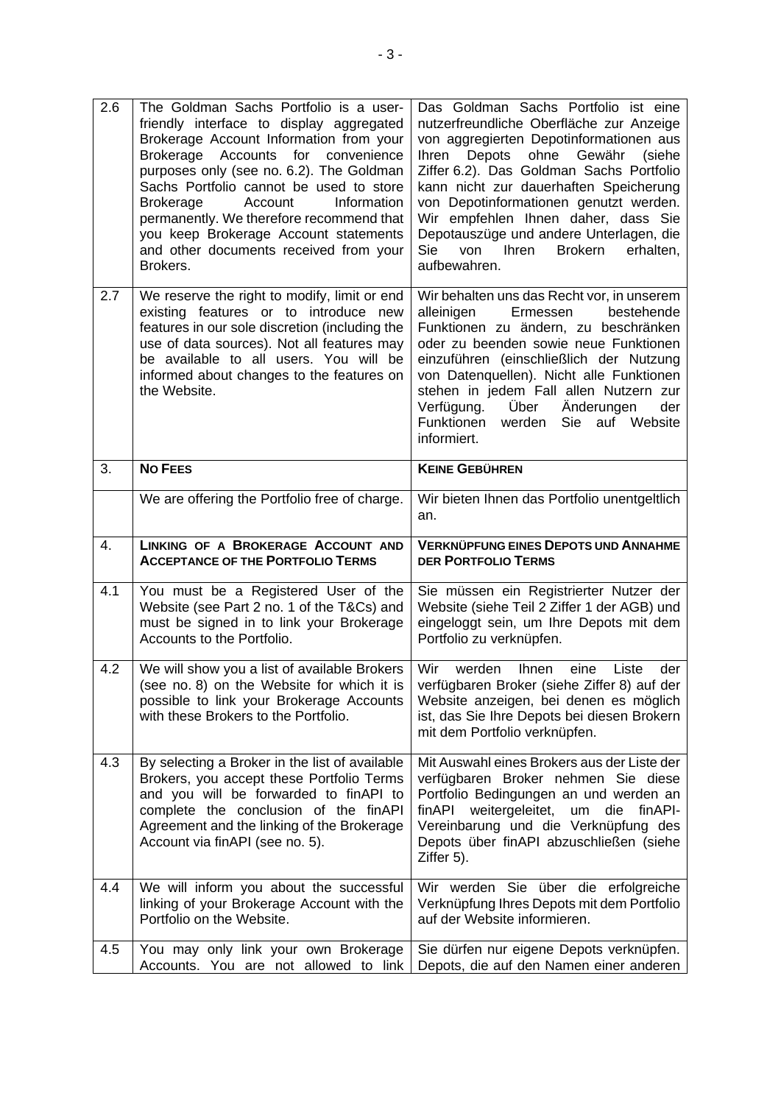<span id="page-2-0"></span>

| 2.6 | The Goldman Sachs Portfolio is a user-<br>friendly interface to display aggregated<br>Brokerage Account Information from your<br>Brokerage Accounts<br>for<br>convenience<br>purposes only (see no. 6.2). The Goldman<br>Sachs Portfolio cannot be used to store<br>Account<br><b>Brokerage</b><br>Information<br>permanently. We therefore recommend that<br>you keep Brokerage Account statements<br>and other documents received from your<br>Brokers. | Das Goldman Sachs Portfolio ist eine<br>nutzerfreundliche Oberfläche zur Anzeige<br>von aggregierten Depotinformationen aus<br>Depots<br>ohne<br>Gewähr<br>Ihren<br>(siehe<br>Ziffer 6.2). Das Goldman Sachs Portfolio<br>kann nicht zur dauerhaften Speicherung<br>von Depotinformationen genutzt werden.<br>Wir empfehlen Ihnen daher, dass Sie<br>Depotauszüge und andere Unterlagen, die<br>Ihren<br><b>Brokern</b><br>Sie<br>von<br>erhalten,<br>aufbewahren. |  |  |
|-----|-----------------------------------------------------------------------------------------------------------------------------------------------------------------------------------------------------------------------------------------------------------------------------------------------------------------------------------------------------------------------------------------------------------------------------------------------------------|--------------------------------------------------------------------------------------------------------------------------------------------------------------------------------------------------------------------------------------------------------------------------------------------------------------------------------------------------------------------------------------------------------------------------------------------------------------------|--|--|
| 2.7 | We reserve the right to modify, limit or end<br>existing features or to introduce new<br>features in our sole discretion (including the<br>use of data sources). Not all features may<br>be available to all users. You will be<br>informed about changes to the features on<br>the Website.                                                                                                                                                              | Wir behalten uns das Recht vor, in unserem<br>Ermessen<br>bestehende<br>alleinigen<br>Funktionen zu ändern, zu beschränken<br>oder zu beenden sowie neue Funktionen<br>einzuführen (einschließlich der Nutzung<br>von Datenquellen). Nicht alle Funktionen<br>stehen in jedem Fall allen Nutzern zur<br>Über<br>Änderungen<br>Verfügung.<br>der<br>Funktionen werden<br>Sie auf Website<br>informiert.                                                             |  |  |
| 3.  | <b>NO FEES</b>                                                                                                                                                                                                                                                                                                                                                                                                                                            | <b>KEINE GEBÜHREN</b>                                                                                                                                                                                                                                                                                                                                                                                                                                              |  |  |
|     | We are offering the Portfolio free of charge.                                                                                                                                                                                                                                                                                                                                                                                                             | Wir bieten Ihnen das Portfolio unentgeltlich<br>an.                                                                                                                                                                                                                                                                                                                                                                                                                |  |  |
|     |                                                                                                                                                                                                                                                                                                                                                                                                                                                           | <b>VERKNÜPFUNG EINES DEPOTS UND ANNAHME</b><br><b>DER PORTFOLIO TERMS</b>                                                                                                                                                                                                                                                                                                                                                                                          |  |  |
| 4.  | LINKING OF A BROKERAGE ACCOUNT AND<br><b>ACCEPTANCE OF THE PORTFOLIO TERMS</b>                                                                                                                                                                                                                                                                                                                                                                            |                                                                                                                                                                                                                                                                                                                                                                                                                                                                    |  |  |
| 4.1 | You must be a Registered User of the<br>Website (see Part 2 no. 1 of the T&Cs) and<br>must be signed in to link your Brokerage<br>Accounts to the Portfolio.                                                                                                                                                                                                                                                                                              | Sie müssen ein Registrierter Nutzer der<br>Website (siehe Teil 2 Ziffer 1 der AGB) und<br>eingeloggt sein, um Ihre Depots mit dem<br>Portfolio zu verknüpfen.                                                                                                                                                                                                                                                                                                      |  |  |
| 4.2 | We will show you a list of available Brokers<br>(see no. 8) on the Website for which it is $ $<br>possible to link your Brokerage Accounts<br>with these Brokers to the Portfolio.                                                                                                                                                                                                                                                                        | Wir<br>werden<br><b>Ihnen</b><br>eine<br>Liste<br>der<br>verfügbaren Broker (siehe Ziffer 8) auf der<br>Website anzeigen, bei denen es möglich<br>ist, das Sie Ihre Depots bei diesen Brokern<br>mit dem Portfolio verknüpfen.                                                                                                                                                                                                                                     |  |  |
| 4.3 | By selecting a Broker in the list of available<br>Brokers, you accept these Portfolio Terms<br>and you will be forwarded to finAPI to<br>complete the conclusion of the finAPI<br>Agreement and the linking of the Brokerage<br>Account via finAPI (see no. 5).                                                                                                                                                                                           | Mit Auswahl eines Brokers aus der Liste der<br>verfügbaren Broker nehmen Sie diese<br>Portfolio Bedingungen an und werden an<br>finAPI weitergeleitet,<br>um<br>die finAPI-<br>Vereinbarung und die Verknüpfung des<br>Depots über finAPI abzuschließen (siehe<br>Ziffer 5).                                                                                                                                                                                       |  |  |
| 4.4 | We will inform you about the successful<br>linking of your Brokerage Account with the<br>Portfolio on the Website.                                                                                                                                                                                                                                                                                                                                        | Wir werden Sie über die erfolgreiche<br>Verknüpfung Ihres Depots mit dem Portfolio<br>auf der Website informieren.                                                                                                                                                                                                                                                                                                                                                 |  |  |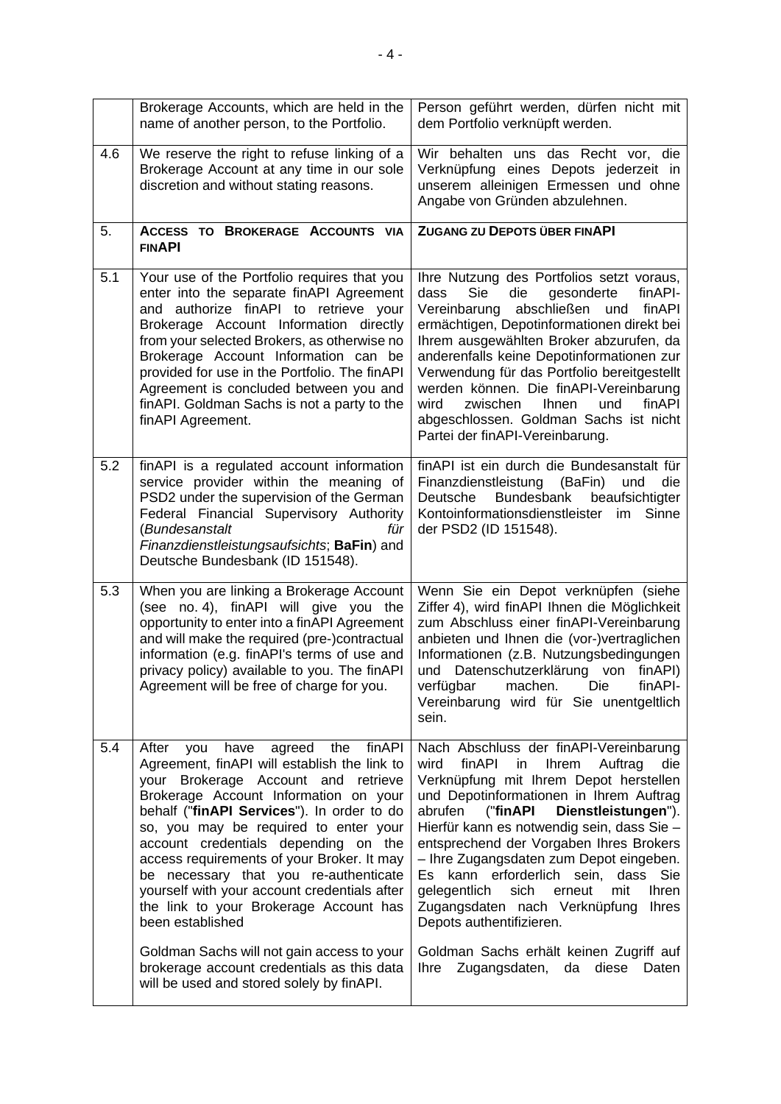<span id="page-3-0"></span>

|     | Brokerage Accounts, which are held in the<br>name of another person, to the Portfolio.                                                                                                                                                                                                                                                                                                                                                                                                                                                                                                                                                                    | Person geführt werden, dürfen nicht mit<br>dem Portfolio verknüpft werden.                                                                                                                                                                                                                                                                                                                                                                                                                                                                                                                                                                        |  |
|-----|-----------------------------------------------------------------------------------------------------------------------------------------------------------------------------------------------------------------------------------------------------------------------------------------------------------------------------------------------------------------------------------------------------------------------------------------------------------------------------------------------------------------------------------------------------------------------------------------------------------------------------------------------------------|---------------------------------------------------------------------------------------------------------------------------------------------------------------------------------------------------------------------------------------------------------------------------------------------------------------------------------------------------------------------------------------------------------------------------------------------------------------------------------------------------------------------------------------------------------------------------------------------------------------------------------------------------|--|
| 4.6 | We reserve the right to refuse linking of a<br>Brokerage Account at any time in our sole<br>discretion and without stating reasons.                                                                                                                                                                                                                                                                                                                                                                                                                                                                                                                       | Wir behalten uns das Recht vor, die<br>Verknüpfung eines Depots jederzeit in<br>unserem alleinigen Ermessen und ohne<br>Angabe von Gründen abzulehnen.                                                                                                                                                                                                                                                                                                                                                                                                                                                                                            |  |
| 5.  | ACCESS TO BROKERAGE ACCOUNTS VIA<br><b>FINAPI</b>                                                                                                                                                                                                                                                                                                                                                                                                                                                                                                                                                                                                         | ZUGANG ZU DEPOTS ÜBER FINAPI                                                                                                                                                                                                                                                                                                                                                                                                                                                                                                                                                                                                                      |  |
| 5.1 | Your use of the Portfolio requires that you<br>enter into the separate finAPI Agreement<br>and authorize finAPI to retrieve your<br>Brokerage Account Information directly<br>from your selected Brokers, as otherwise no<br>Brokerage Account Information can be<br>provided for use in the Portfolio. The finAPI<br>Agreement is concluded between you and<br>finAPI. Goldman Sachs is not a party to the<br>finAPI Agreement.                                                                                                                                                                                                                          | Ihre Nutzung des Portfolios setzt voraus,<br>dass<br>Sie<br>die<br>gesonderte<br>finAPI-<br>Vereinbarung<br>abschließen<br>und<br>finAPI<br>ermächtigen, Depotinformationen direkt bei<br>Ihrem ausgewählten Broker abzurufen, da<br>anderenfalls keine Depotinformationen zur<br>Verwendung für das Portfolio bereitgestellt<br>werden können. Die finAPI-Vereinbarung<br>und<br>wird<br>zwischen<br><b>Ihnen</b><br>finAPI<br>abgeschlossen. Goldman Sachs ist nicht<br>Partei der finAPI-Vereinbarung.                                                                                                                                         |  |
| 5.2 | finAPI is a regulated account information<br>service provider within the meaning of<br>PSD2 under the supervision of the German<br>Federal Financial Supervisory Authority<br>(Bundesanstalt<br>für<br>Finanzdienstleistungsaufsichts; BaFin) and<br>Deutsche Bundesbank (ID 151548).                                                                                                                                                                                                                                                                                                                                                                     | finAPI ist ein durch die Bundesanstalt für<br>Finanzdienstleistung<br>(BaFin)<br>die<br>und<br><b>Bundesbank</b><br>beaufsichtigter<br>Deutsche<br>Kontoinformationsdienstleister<br>im Sinne<br>der PSD2 (ID 151548).                                                                                                                                                                                                                                                                                                                                                                                                                            |  |
| 5.3 | When you are linking a Brokerage Account<br>(see no. 4), finAPI will give you the<br>opportunity to enter into a finAPI Agreement<br>and will make the required (pre-)contractual<br>information (e.g. finAPI's terms of use and<br>privacy policy) available to you. The finAPI<br>Agreement will be free of charge for you.                                                                                                                                                                                                                                                                                                                             | Wenn Sie ein Depot verknüpfen (siehe<br>Ziffer 4), wird finAPI Ihnen die Möglichkeit<br>zum Abschluss einer finAPI-Vereinbarung<br>anbieten und Ihnen die (vor-)vertraglichen<br>Informationen (z.B. Nutzungsbedingungen<br>und Datenschutzerklärung von finAPI)<br>verfügbar machen. Die finAPI-<br>Vereinbarung wird für Sie unentgeltlich<br>sein.                                                                                                                                                                                                                                                                                             |  |
| 5.4 | finAPI<br>After<br>agreed the<br>you<br>have<br>Agreement, finAPI will establish the link to<br>your Brokerage Account and retrieve<br>Brokerage Account Information on your<br>behalf ("finAPI Services"). In order to do<br>so, you may be required to enter your<br>account credentials depending on the<br>access requirements of your Broker. It may<br>be necessary that you re-authenticate<br>yourself with your account credentials after<br>the link to your Brokerage Account has<br>been established<br>Goldman Sachs will not gain access to your<br>brokerage account credentials as this data<br>will be used and stored solely by finAPI. | Nach Abschluss der finAPI-Vereinbarung<br>finAPI<br>in<br><b>Ihrem</b><br>Auftrag<br>die<br>wird<br>Verknüpfung mit Ihrem Depot herstellen<br>und Depotinformationen in Ihrem Auftrag<br>Dienstleistungen").<br>abrufen<br>("finAPI<br>Hierfür kann es notwendig sein, dass Sie -<br>entsprechend der Vorgaben Ihres Brokers<br>- Ihre Zugangsdaten zum Depot eingeben.<br>Es kann erforderlich sein, dass<br>Sie<br>gelegentlich<br>sich<br>mit<br>erneut<br><b>Ihren</b><br>Zugangsdaten nach Verknüpfung<br><b>Ihres</b><br>Depots authentifizieren.<br>Goldman Sachs erhält keinen Zugriff auf<br>Zugangsdaten, da diese Daten<br><b>Ihre</b> |  |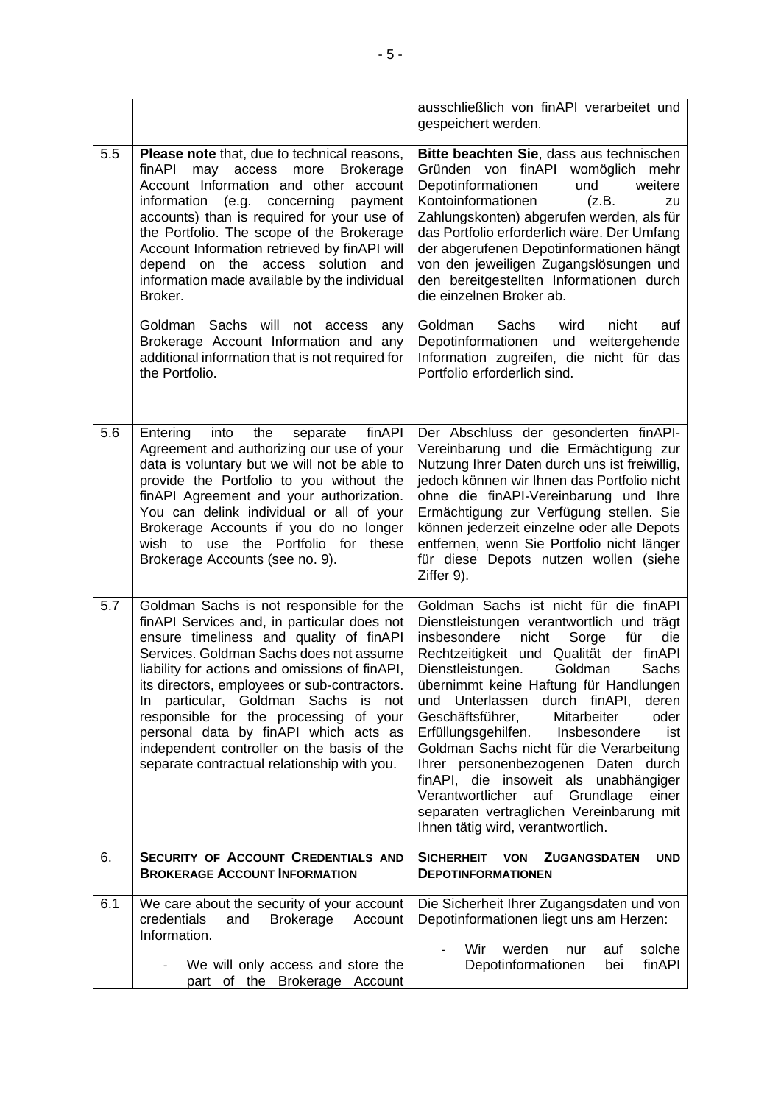|     |                                                                                                                                                                                                                                                                                                                                                                                                                                                                                                                                                                                                | ausschließlich von finAPI verarbeitet und<br>gespeichert werden.                                                                                                                                                                                                                                                                                                                                                                                                                                                                                                                                                                                                         |  |  |
|-----|------------------------------------------------------------------------------------------------------------------------------------------------------------------------------------------------------------------------------------------------------------------------------------------------------------------------------------------------------------------------------------------------------------------------------------------------------------------------------------------------------------------------------------------------------------------------------------------------|--------------------------------------------------------------------------------------------------------------------------------------------------------------------------------------------------------------------------------------------------------------------------------------------------------------------------------------------------------------------------------------------------------------------------------------------------------------------------------------------------------------------------------------------------------------------------------------------------------------------------------------------------------------------------|--|--|
| 5.5 | <b>Please note</b> that, due to technical reasons,<br>may access more<br>finAPI<br><b>Brokerage</b><br>Account Information and other account<br>information<br>(e.g.<br>concerning<br>payment<br>accounts) than is required for your use of<br>the Portfolio. The scope of the Brokerage<br>Account Information retrieved by finAPI will<br>depend on the access solution and<br>information made available by the individual<br>Broker.<br>Goldman Sachs will not access<br>any<br>Brokerage Account Information and any<br>additional information that is not required for<br>the Portfolio. | Bitte beachten Sie, dass aus technischen<br>Gründen von finAPI womöglich<br>mehr<br>Depotinformationen<br>weitere<br>und<br>Kontoinformationen<br>(z.B.<br>zu<br>Zahlungskonten) abgerufen werden, als für<br>das Portfolio erforderlich wäre. Der Umfang<br>der abgerufenen Depotinformationen hängt<br>von den jeweiligen Zugangslösungen und<br>den bereitgestellten Informationen durch<br>die einzelnen Broker ab.<br>Goldman<br>Sachs<br>wird<br>nicht<br>auf<br>Depotinformationen<br>und weitergehende<br>Information zugreifen, die nicht für das<br>Portfolio erforderlich sind.                                                                               |  |  |
| 5.6 | the<br>finAPI<br>Entering<br>into<br>separate<br>Agreement and authorizing our use of your<br>data is voluntary but we will not be able to<br>provide the Portfolio to you without the<br>finAPI Agreement and your authorization.<br>You can delink individual or all of your<br>Brokerage Accounts if you do no longer<br>wish to use the Portfolio for<br>these<br>Brokerage Accounts (see no. 9).                                                                                                                                                                                          | Der Abschluss der gesonderten finAPI-<br>Vereinbarung und die Ermächtigung zur<br>Nutzung Ihrer Daten durch uns ist freiwillig,<br>jedoch können wir Ihnen das Portfolio nicht<br>ohne die finAPI-Vereinbarung und Ihre<br>Ermächtigung zur Verfügung stellen. Sie<br>können jederzeit einzelne oder alle Depots<br>entfernen, wenn Sie Portfolio nicht länger<br>für diese Depots nutzen wollen (siehe<br>Ziffer 9).                                                                                                                                                                                                                                                    |  |  |
| 5.7 | Goldman Sachs is not responsible for the<br>finAPI Services and, in particular does not<br>ensure timeliness and quality of finAPI<br>Services. Goldman Sachs does not assume<br>liability for actions and omissions of finAPI,<br>its directors, employees or sub-contractors.<br>particular, Goldman Sachs is<br>In.<br>not<br>responsible for the processing of your<br>personal data by finAPI which acts as<br>independent controller on the basis of the<br>separate contractual relationship with you.                                                                                  | Goldman Sachs ist nicht für die finAPI<br>Dienstleistungen verantwortlich und trägt<br>insbesondere<br>nicht<br>Sorge<br>für<br>die<br>Rechtzeitigkeit und Qualität der finAPI<br>Dienstleistungen.<br>Goldman<br>Sachs<br>übernimmt keine Haftung für Handlungen<br>Unterlassen<br>durch finAPI,<br>deren<br>und<br>Geschäftsführer,<br>oder<br>Mitarbeiter<br>Erfüllungsgehilfen.<br>Insbesondere<br>ist<br>Goldman Sachs nicht für die Verarbeitung<br>Ihrer personenbezogenen Daten durch<br>finAPI, die insoweit als unabhängiger<br>Verantwortlicher<br>Grundlage<br>auf<br>einer<br>separaten vertraglichen Vereinbarung mit<br>Ihnen tätig wird, verantwortlich. |  |  |
| 6.  | SECURITY OF ACCOUNT CREDENTIALS AND<br><b>BROKERAGE ACCOUNT INFORMATION</b>                                                                                                                                                                                                                                                                                                                                                                                                                                                                                                                    | <b>SICHERHEIT</b><br><b>ZUGANGSDATEN</b><br><b>VON</b><br><b>UND</b><br><b>DEPOTINFORMATIONEN</b>                                                                                                                                                                                                                                                                                                                                                                                                                                                                                                                                                                        |  |  |
| 6.1 | We care about the security of your account<br>credentials<br><b>Brokerage</b><br>and<br>Account<br>Information.<br>We will only access and store the                                                                                                                                                                                                                                                                                                                                                                                                                                           | Die Sicherheit Ihrer Zugangsdaten und von<br>Depotinformationen liegt uns am Herzen:<br>Wir<br>werden<br>solche<br>auf<br>nur<br>Depotinformationen<br>finAPI<br>bei                                                                                                                                                                                                                                                                                                                                                                                                                                                                                                     |  |  |
|     | part of the Brokerage Account                                                                                                                                                                                                                                                                                                                                                                                                                                                                                                                                                                  |                                                                                                                                                                                                                                                                                                                                                                                                                                                                                                                                                                                                                                                                          |  |  |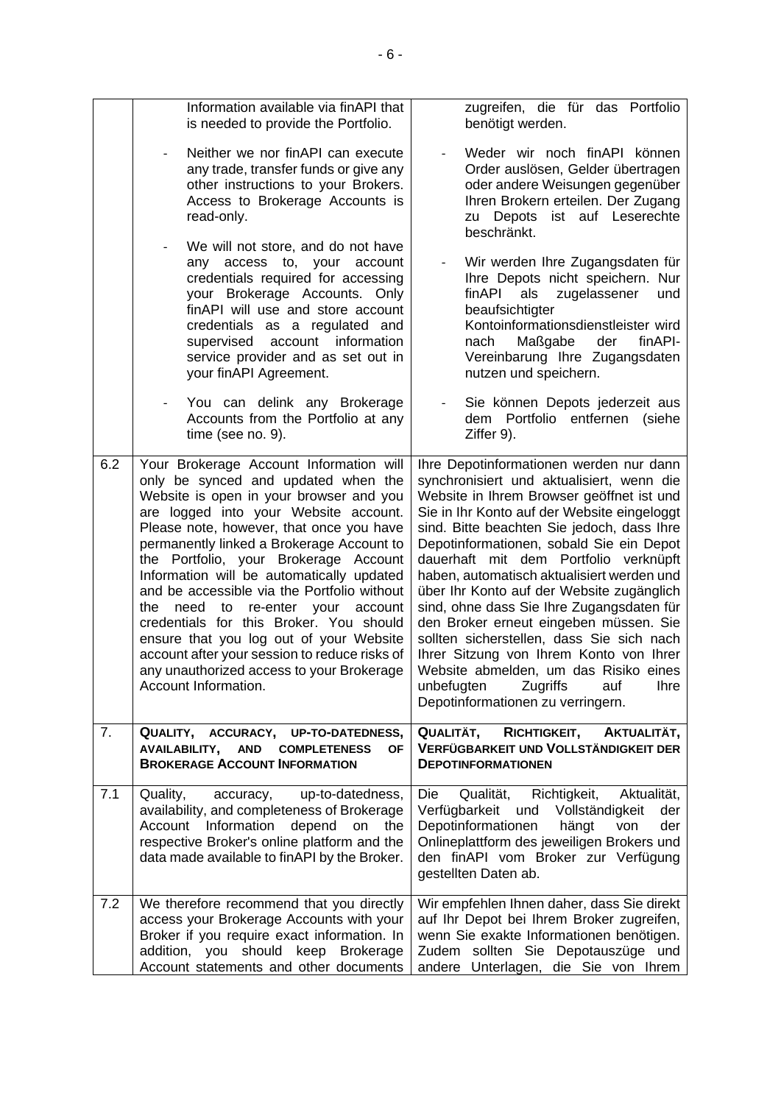<span id="page-5-0"></span>

|     | Information available via finAPI that<br>is needed to provide the Portfolio.                                                                                                                                                                                                                                                                                                                                                                                                                                                                                                                                                                                  | zugreifen, die für das Portfolio<br>benötigt werden.                                                                                                                                                                                                                                                                                                                                                                                                                                                                                                                                                                                                                                                                        |  |  |
|-----|---------------------------------------------------------------------------------------------------------------------------------------------------------------------------------------------------------------------------------------------------------------------------------------------------------------------------------------------------------------------------------------------------------------------------------------------------------------------------------------------------------------------------------------------------------------------------------------------------------------------------------------------------------------|-----------------------------------------------------------------------------------------------------------------------------------------------------------------------------------------------------------------------------------------------------------------------------------------------------------------------------------------------------------------------------------------------------------------------------------------------------------------------------------------------------------------------------------------------------------------------------------------------------------------------------------------------------------------------------------------------------------------------------|--|--|
|     | Neither we nor finAPI can execute<br>any trade, transfer funds or give any<br>other instructions to your Brokers.<br>Access to Brokerage Accounts is<br>read-only.                                                                                                                                                                                                                                                                                                                                                                                                                                                                                            | Weder wir noch finAPI können<br>Order auslösen, Gelder übertragen<br>oder andere Weisungen gegenüber<br>Ihren Brokern erteilen. Der Zugang<br>zu Depots ist auf Leserechte<br>beschränkt.                                                                                                                                                                                                                                                                                                                                                                                                                                                                                                                                   |  |  |
|     | We will not store, and do not have<br>any access to, your<br>account<br>credentials required for accessing<br>your Brokerage Accounts. Only<br>finAPI will use and store account<br>credentials as a regulated and<br>supervised account information<br>service provider and as set out in<br>your finAPI Agreement.                                                                                                                                                                                                                                                                                                                                          | Wir werden Ihre Zugangsdaten für<br>Ihre Depots nicht speichern. Nur<br>finAPI<br>als<br>zugelassener<br>und<br>beaufsichtigter<br>Kontoinformationsdienstleister wird<br>Maßgabe<br>der<br>finAPI-<br>nach<br>Vereinbarung Ihre Zugangsdaten<br>nutzen und speichern.                                                                                                                                                                                                                                                                                                                                                                                                                                                      |  |  |
|     | You can delink any Brokerage<br>Accounts from the Portfolio at any<br>time (see no. 9).                                                                                                                                                                                                                                                                                                                                                                                                                                                                                                                                                                       | Sie können Depots jederzeit aus<br>dem Portfolio entfernen<br>(siehe<br>Ziffer 9).                                                                                                                                                                                                                                                                                                                                                                                                                                                                                                                                                                                                                                          |  |  |
| 6.2 | Your Brokerage Account Information will<br>only be synced and updated when the<br>Website is open in your browser and you<br>are logged into your Website account.<br>Please note, however, that once you have<br>permanently linked a Brokerage Account to<br>the Portfolio, your Brokerage Account<br>Information will be automatically updated<br>and be accessible via the Portfolio without<br>need<br>re-enter your<br>the<br>to<br>account<br>credentials for this Broker. You should<br>ensure that you log out of your Website<br>account after your session to reduce risks of<br>any unauthorized access to your Brokerage<br>Account Information. | Ihre Depotinformationen werden nur dann<br>synchronisiert und aktualisiert, wenn die<br>Website in Ihrem Browser geöffnet ist und<br>Sie in Ihr Konto auf der Website eingeloggt<br>sind. Bitte beachten Sie jedoch, dass Ihre<br>Depotinformationen, sobald Sie ein Depot<br>dauerhaft mit dem Portfolio verknüpft<br>haben, automatisch aktualisiert werden und<br>über Ihr Konto auf der Website zugänglich<br>sind, ohne dass Sie Ihre Zugangsdaten für<br>den Broker erneut eingeben müssen. Sie<br>sollten sicherstellen, dass Sie sich nach<br>Ihrer Sitzung von Ihrem Konto von Ihrer<br>Website abmelden, um das Risiko eines<br>unbefugten<br>Zugriffs<br>auf<br><b>Ihre</b><br>Depotinformationen zu verringern. |  |  |
| 7.  | QUALITY, ACCURACY,<br><b>UP-TO-DATEDNESS,</b><br>AVAILABILITY,<br><b>AND</b><br><b>COMPLETENESS</b><br><b>OF</b><br><b>BROKERAGE ACCOUNT INFORMATION</b>                                                                                                                                                                                                                                                                                                                                                                                                                                                                                                      | QUALITÄT,<br>RICHTIGKEIT,<br>AKTUALITÄT,<br>VERFÜGBARKEIT UND VOLLSTÄNDIGKEIT DER<br><b>DEPOTINFORMATIONEN</b>                                                                                                                                                                                                                                                                                                                                                                                                                                                                                                                                                                                                              |  |  |
| 7.1 | up-to-datedness,<br>Quality,<br>accuracy,<br>availability, and completeness of Brokerage<br>Information<br>depend<br>Account<br>on<br>the<br>respective Broker's online platform and the<br>data made available to finAPI by the Broker.                                                                                                                                                                                                                                                                                                                                                                                                                      | Qualität,<br>Richtigkeit,<br>Aktualität,<br>Die<br>Verfügbarkeit<br>und<br>Vollständigkeit<br>der<br>Depotinformationen<br>hängt<br>der<br>von<br>Onlineplattform des jeweiligen Brokers und<br>den finAPI vom Broker zur Verfügung<br>gestellten Daten ab.                                                                                                                                                                                                                                                                                                                                                                                                                                                                 |  |  |
| 7.2 | We therefore recommend that you directly<br>access your Brokerage Accounts with your<br>Broker if you require exact information. In<br>addition, you should<br>keep<br><b>Brokerage</b><br>Account statements and other documents                                                                                                                                                                                                                                                                                                                                                                                                                             | Wir empfehlen Ihnen daher, dass Sie direkt<br>auf Ihr Depot bei Ihrem Broker zugreifen,<br>wenn Sie exakte Informationen benötigen.<br>Zudem sollten Sie Depotauszüge und<br>andere Unterlagen, die Sie von Ihrem                                                                                                                                                                                                                                                                                                                                                                                                                                                                                                           |  |  |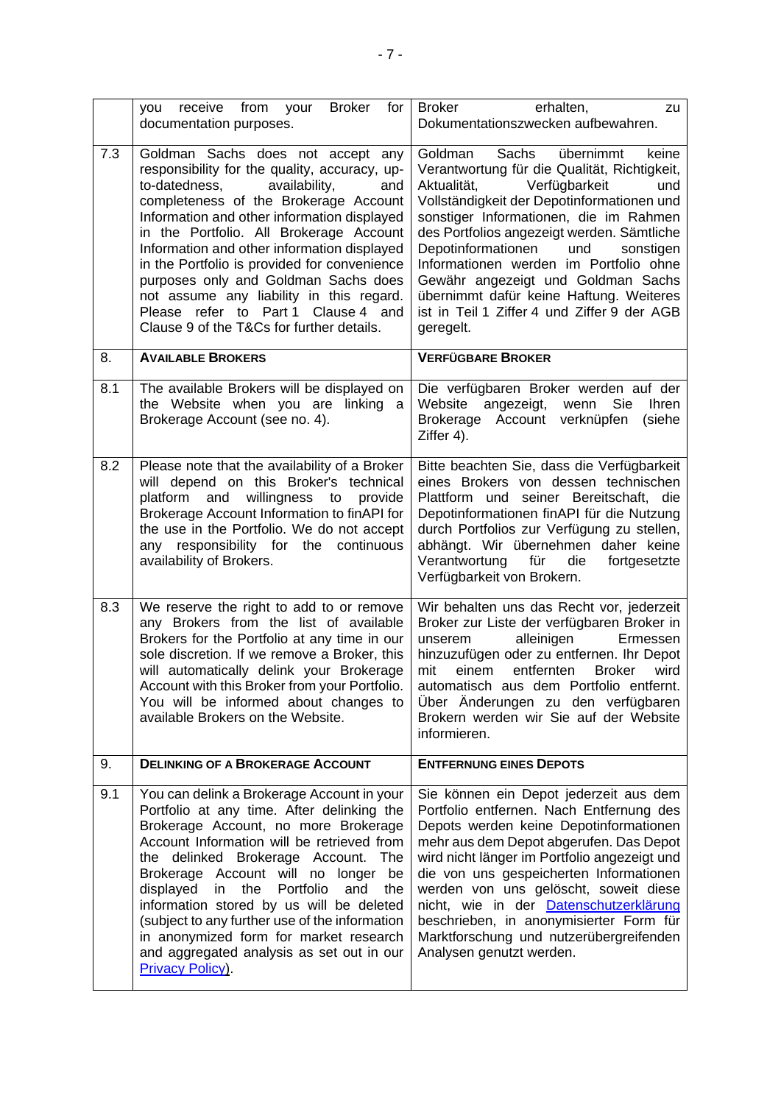<span id="page-6-1"></span><span id="page-6-0"></span>

|     | receive from your<br><b>Broker</b><br>for<br>you<br>documentation purposes.                                                                                                                                                                                                                                                                                                                                                                                                                                                           | <b>Broker</b><br>erhalten,<br>zu<br>Dokumentationszwecken aufbewahren.                                                                                                                                                                                                                                                                                                                                                                                                                               |  |  |  |
|-----|---------------------------------------------------------------------------------------------------------------------------------------------------------------------------------------------------------------------------------------------------------------------------------------------------------------------------------------------------------------------------------------------------------------------------------------------------------------------------------------------------------------------------------------|------------------------------------------------------------------------------------------------------------------------------------------------------------------------------------------------------------------------------------------------------------------------------------------------------------------------------------------------------------------------------------------------------------------------------------------------------------------------------------------------------|--|--|--|
| 7.3 | Goldman Sachs does not accept any<br>responsibility for the quality, accuracy, up-<br>to-datedness,<br>availability,<br>and<br>completeness of the Brokerage Account<br>Information and other information displayed<br>in the Portfolio. All Brokerage Account<br>Information and other information displayed<br>in the Portfolio is provided for convenience<br>purposes only and Goldman Sachs does<br>not assume any liability in this regard.<br>Please refer to Part 1 Clause 4 and<br>Clause 9 of the T&Cs for further details. | Sachs<br>übernimmt<br>Goldman<br>keine<br>Verantwortung für die Qualität, Richtigkeit,<br>Aktualität,<br>Verfügbarkeit<br>und<br>Vollständigkeit der Depotinformationen und<br>sonstiger Informationen, die im Rahmen<br>des Portfolios angezeigt werden. Sämtliche<br>Depotinformationen<br>und<br>sonstigen<br>Informationen werden im Portfolio ohne<br>Gewähr angezeigt und Goldman Sachs<br>übernimmt dafür keine Haftung. Weiteres<br>ist in Teil 1 Ziffer 4 und Ziffer 9 der AGB<br>geregelt. |  |  |  |
| 8.  | <b>AVAILABLE BROKERS</b>                                                                                                                                                                                                                                                                                                                                                                                                                                                                                                              | <b>VERFÜGBARE BROKER</b>                                                                                                                                                                                                                                                                                                                                                                                                                                                                             |  |  |  |
| 8.1 | The available Brokers will be displayed on<br>the Website when you are linking a<br>Brokerage Account (see no. 4).                                                                                                                                                                                                                                                                                                                                                                                                                    | Die verfügbaren Broker werden auf der<br>Sie<br>Website angezeigt, wenn<br><b>Ihren</b><br>Brokerage Account verknüpfen<br>(siehe<br>Ziffer 4).                                                                                                                                                                                                                                                                                                                                                      |  |  |  |
| 8.2 | Please note that the availability of a Broker<br>will depend on this Broker's technical<br>platform and willingness to provide<br>Brokerage Account Information to finAPI for<br>the use in the Portfolio. We do not accept<br>any responsibility for the continuous<br>availability of Brokers.                                                                                                                                                                                                                                      | Bitte beachten Sie, dass die Verfügbarkeit<br>eines Brokers von dessen technischen<br>Plattform und seiner Bereitschaft, die<br>Depotinformationen finAPI für die Nutzung<br>durch Portfolios zur Verfügung zu stellen,<br>abhängt. Wir übernehmen daher keine<br>Verantwortung<br>für<br>die<br>fortgesetzte<br>Verfügbarkeit von Brokern.                                                                                                                                                          |  |  |  |
| 8.3 | We reserve the right to add to or remove<br>any Brokers from the list of available<br>Brokers for the Portfolio at any time in our<br>sole discretion. If we remove a Broker, this<br>will automatically delink your Brokerage<br>Account with this Broker from your Portfolio.<br>You will be informed about changes to<br>available Brokers on the Website.                                                                                                                                                                         | Wir behalten uns das Recht vor, jederzeit<br>Broker zur Liste der verfügbaren Broker in<br>unserem<br>alleinigen<br>Ermessen<br>hinzuzufügen oder zu entfernen. Ihr Depot<br>entfernten<br><b>Broker</b><br>mit<br>einem<br>wird<br>automatisch aus dem Portfolio entfernt.<br>Über Änderungen zu den verfügbaren<br>Brokern werden wir Sie auf der Website<br>informieren.                                                                                                                          |  |  |  |
| 9.  | <b>DELINKING OF A BROKERAGE ACCOUNT</b>                                                                                                                                                                                                                                                                                                                                                                                                                                                                                               | <b>ENTFERNUNG EINES DEPOTS</b>                                                                                                                                                                                                                                                                                                                                                                                                                                                                       |  |  |  |
| 9.1 | You can delink a Brokerage Account in your<br>Portfolio at any time. After delinking the<br>Brokerage Account, no more Brokerage<br>Account Information will be retrieved from<br>the delinked Brokerage Account. The<br>Brokerage Account will no longer<br>be<br>displayed<br>in<br>the Portfolio<br>and<br>the<br>information stored by us will be deleted<br>(subject to any further use of the information<br>in anonymized form for market research<br>and aggregated analysis as set out in our<br>Privacy Policy).            | Sie können ein Depot jederzeit aus dem<br>Portfolio entfernen. Nach Entfernung des<br>Depots werden keine Depotinformationen<br>mehr aus dem Depot abgerufen. Das Depot<br>wird nicht länger im Portfolio angezeigt und<br>die von uns gespeicherten Informationen<br>werden von uns gelöscht, soweit diese<br>nicht, wie in der Datenschutzerklärung<br>beschrieben, in anonymisierter Form für<br>Marktforschung und nutzerübergreifenden<br>Analysen genutzt werden.                              |  |  |  |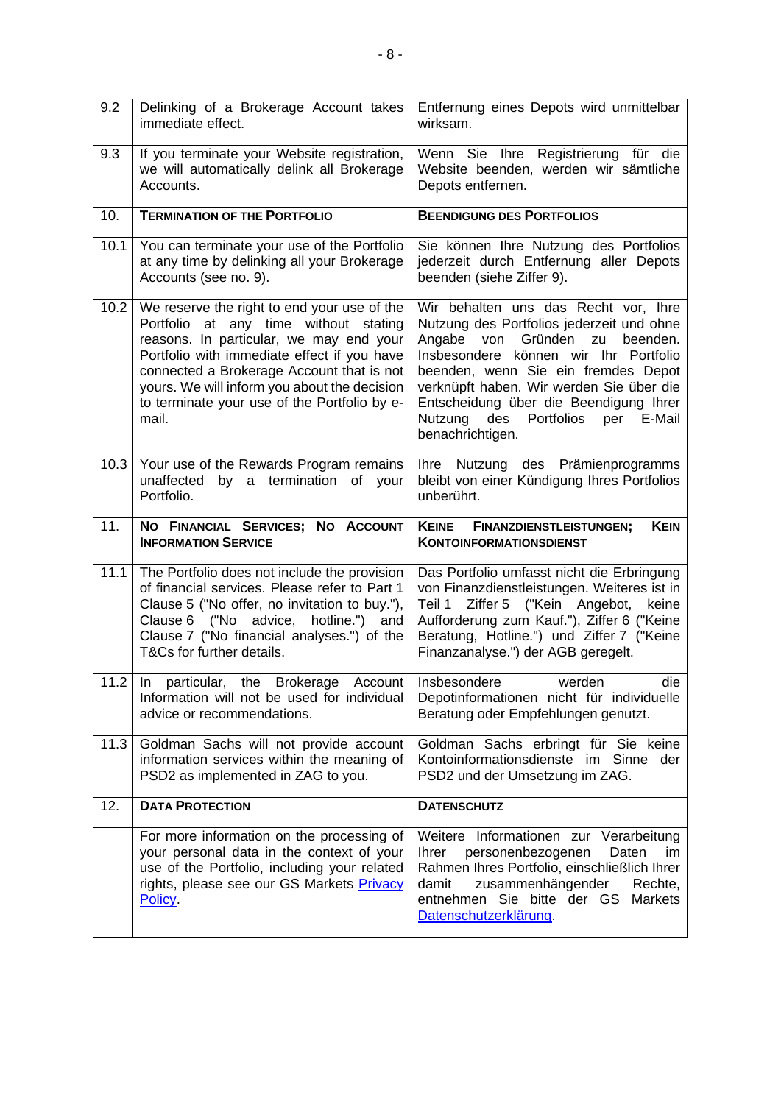| 9.2  | Delinking of a Brokerage Account takes<br>immediate effect.                                                                                                                                                                                                                                                                          | Entfernung eines Depots wird unmittelbar<br>wirksam.                                                                                                                                                                                                                                                                                                                    |  |  |
|------|--------------------------------------------------------------------------------------------------------------------------------------------------------------------------------------------------------------------------------------------------------------------------------------------------------------------------------------|-------------------------------------------------------------------------------------------------------------------------------------------------------------------------------------------------------------------------------------------------------------------------------------------------------------------------------------------------------------------------|--|--|
| 9.3  | If you terminate your Website registration,<br>we will automatically delink all Brokerage<br>Accounts.                                                                                                                                                                                                                               | Wenn Sie Ihre Registrierung für die<br>Website beenden, werden wir sämtliche<br>Depots entfernen.                                                                                                                                                                                                                                                                       |  |  |
| 10.  | <b>TERMINATION OF THE PORTFOLIO</b>                                                                                                                                                                                                                                                                                                  | <b>BEENDIGUNG DES PORTFOLIOS</b>                                                                                                                                                                                                                                                                                                                                        |  |  |
| 10.1 | You can terminate your use of the Portfolio<br>at any time by delinking all your Brokerage<br>Accounts (see no. 9).                                                                                                                                                                                                                  | Sie können Ihre Nutzung des Portfolios<br>jederzeit durch Entfernung aller Depots<br>beenden (siehe Ziffer 9).                                                                                                                                                                                                                                                          |  |  |
| 10.2 | We reserve the right to end your use of the<br>Portfolio at any time without stating<br>reasons. In particular, we may end your<br>Portfolio with immediate effect if you have<br>connected a Brokerage Account that is not<br>yours. We will inform you about the decision<br>to terminate your use of the Portfolio by e-<br>mail. | Wir behalten uns das Recht vor, Ihre<br>Nutzung des Portfolios jederzeit und ohne<br>Angabe<br>von<br>Gründen<br>beenden.<br>zu<br>Insbesondere können wir Ihr Portfolio<br>beenden, wenn Sie ein fremdes Depot<br>verknüpft haben. Wir werden Sie über die<br>Entscheidung über die Beendigung Ihrer<br>des Portfolios<br>Nutzung<br>per<br>E-Mail<br>benachrichtigen. |  |  |
| 10.3 | Your use of the Rewards Program remains<br>unaffected<br>by a termination of your<br>Portfolio.                                                                                                                                                                                                                                      | Ihre Nutzung des Prämienprogramms<br>bleibt von einer Kündigung Ihres Portfolios<br>unberührt.                                                                                                                                                                                                                                                                          |  |  |
|      |                                                                                                                                                                                                                                                                                                                                      |                                                                                                                                                                                                                                                                                                                                                                         |  |  |
| 11.  | NO FINANCIAL SERVICES; NO ACCOUNT<br><b>INFORMATION SERVICE</b>                                                                                                                                                                                                                                                                      | <b>KEIN</b><br><b>KEINE</b><br><b>FINANZDIENSTLEISTUNGEN;</b><br><b>KONTOINFORMATIONSDIENST</b>                                                                                                                                                                                                                                                                         |  |  |
| 11.1 | The Portfolio does not include the provision<br>of financial services. Please refer to Part 1<br>Clause 5 ("No offer, no invitation to buy."),<br>Clause 6 ("No advice, hotline.") and<br>Clause 7 ("No financial analyses.") of the<br>T&Cs for further details.                                                                    | Das Portfolio umfasst nicht die Erbringung<br>von Finanzdienstleistungen. Weiteres ist in<br>Ziffer 5 ("Kein Angebot,<br>Teil 1<br>keine<br>Aufforderung zum Kauf."), Ziffer 6 ("Keine<br>Beratung, Hotline.") und Ziffer 7 ("Keine<br>Finanzanalyse.") der AGB geregelt.                                                                                               |  |  |
|      | 11.2 In particular, the Brokerage Account Insbesondere<br>Information will not be used for individual<br>advice or recommendations.                                                                                                                                                                                                  | die<br>werden<br>Depotinformationen nicht für individuelle<br>Beratung oder Empfehlungen genutzt.                                                                                                                                                                                                                                                                       |  |  |
| 11.3 | Goldman Sachs will not provide account<br>information services within the meaning of<br>PSD2 as implemented in ZAG to you.                                                                                                                                                                                                           | Goldman Sachs erbringt für Sie keine<br>Kontoinformationsdienste im Sinne der<br>PSD2 und der Umsetzung im ZAG.                                                                                                                                                                                                                                                         |  |  |
| 12.  | <b>DATA PROTECTION</b>                                                                                                                                                                                                                                                                                                               | <b>DATENSCHUTZ</b>                                                                                                                                                                                                                                                                                                                                                      |  |  |